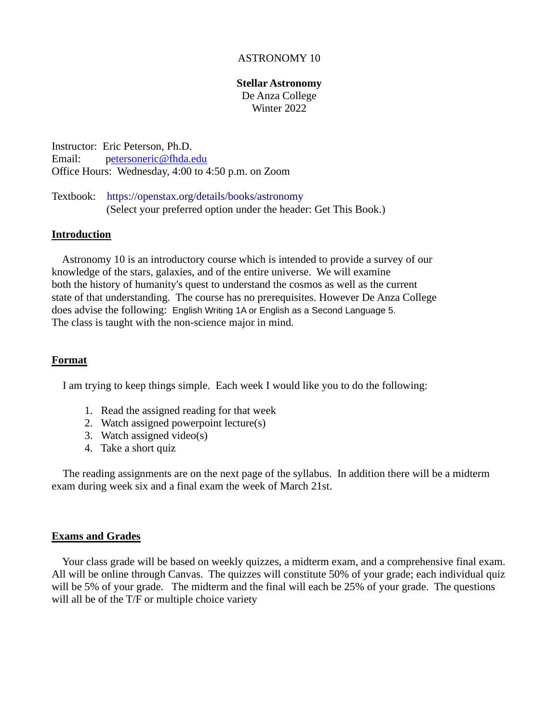# ASTRONOMY 10

#### **Stellar Astronomy**

De Anza College Winter 2022

Instructor: Eric Peterson, Ph.D. Email: petersoneric@fhda.edu Office Hours: Wednesday, 4:00 to 4:50 p.m. on Zoom

Textbook: <https://openstax.org/details/books/astronomy> (Select your preferred option under the header: Get This Book.)

### **Introduction**

 Astronomy 10 is an introductory course which is intended to provide a survey of our knowledge of the stars, galaxies, and of the entire universe. We will examine both the history of humanity's quest to understand the cosmos as well as the current state of that understanding. The course has no prerequisites. However De Anza College does advise the following: English Writing 1A or English as a Second Language 5. The class is taught with the non-science major in mind.

## **Format**

I am trying to keep things simple. Each week I would like you to do the following:

- 1. Read the assigned reading for that week
- 2. Watch assigned powerpoint lecture(s)
- 3. Watch assigned video(s)
- 4. Take a short quiz

The reading assignments are on the next page of the syllabus. In addition there will be a midterm exam during week six and a final exam the week of March 21st.

#### **Exams and Grades**

 Your class grade will be based on weekly quizzes, a midterm exam, and a comprehensive final exam. All will be online through Canvas. The quizzes will constitute 50% of your grade; each individual quiz will be 5% of your grade. The midterm and the final will each be 25% of your grade. The questions will all be of the T/F or multiple choice variety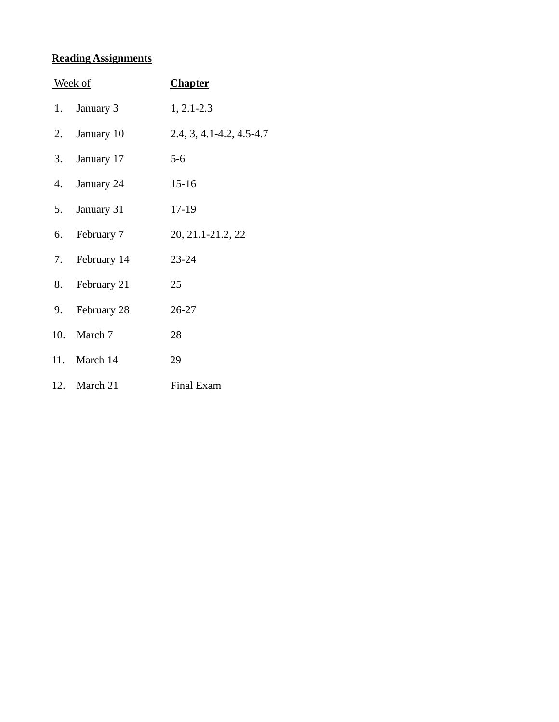# **Reading Assignments**

| Week of |                | <b>Chapter</b>                 |
|---------|----------------|--------------------------------|
|         | 1. January 3   | $1, 2.1 - 2.3$                 |
|         | 2. January 10  | $2.4, 3, 4.1 - 4.2, 4.5 - 4.7$ |
|         | 3. January 17  | $5 - 6$                        |
|         | 4. January 24  | $15 - 16$                      |
|         | 5. January 31  | 17-19                          |
|         | 6. February 7  | 20, 21.1-21.2, 22              |
|         | 7. February 14 | 23-24                          |
|         | 8. February 21 | 25                             |
|         | 9. February 28 | 26-27                          |
|         | 10. March 7    | 28                             |
|         | 11. March 14   | 29                             |
|         | 12. March 21   | <b>Final Exam</b>              |